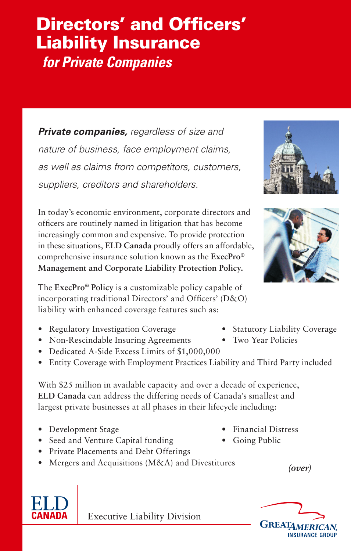## Directors' and Officers' Liability Insurance  *for Private Companies*

*Private companies, regardless of size and nature of business, face employment claims, as well as claims from competitors, customers, suppliers, creditors and shareholders.*

In today's economic environment, corporate directors and officers are routinely named in litigation that has become increasingly common and expensive. To provide protection in these situations, **ELD Canada** proudly offers an affordable, comprehensive insurance solution known as the **ExecPro® Management and Corporate Liability Protection Policy.** 

The **ExecPro® Policy** is a customizable policy capable of incorporating traditional Directors' and Officers' (D&O) liability with enhanced coverage features such as:

- Regulatory Investigation Coverage Statutory Liability Coverage
- Non-Rescindable Insuring Agreements Two Year Policies
- • Dedicated A-Side Excess Limits of \$1,000,000
- Entity Coverage with Employment Practices Liability and Third Party included

With \$25 million in available capacity and over a decade of experience, **ELD Canada** can address the differing needs of Canada's smallest and largest private businesses at all phases in their lifecycle including:

- Development Stage Financial Distress
- Seed and Venture Capital funding Going Public
- • Private Placements and Debt Offerings
- Mergers and Acquisitions (M&A) and Divestitures
- 
- 

- 
- 

*(over)*



Executive Liability Division